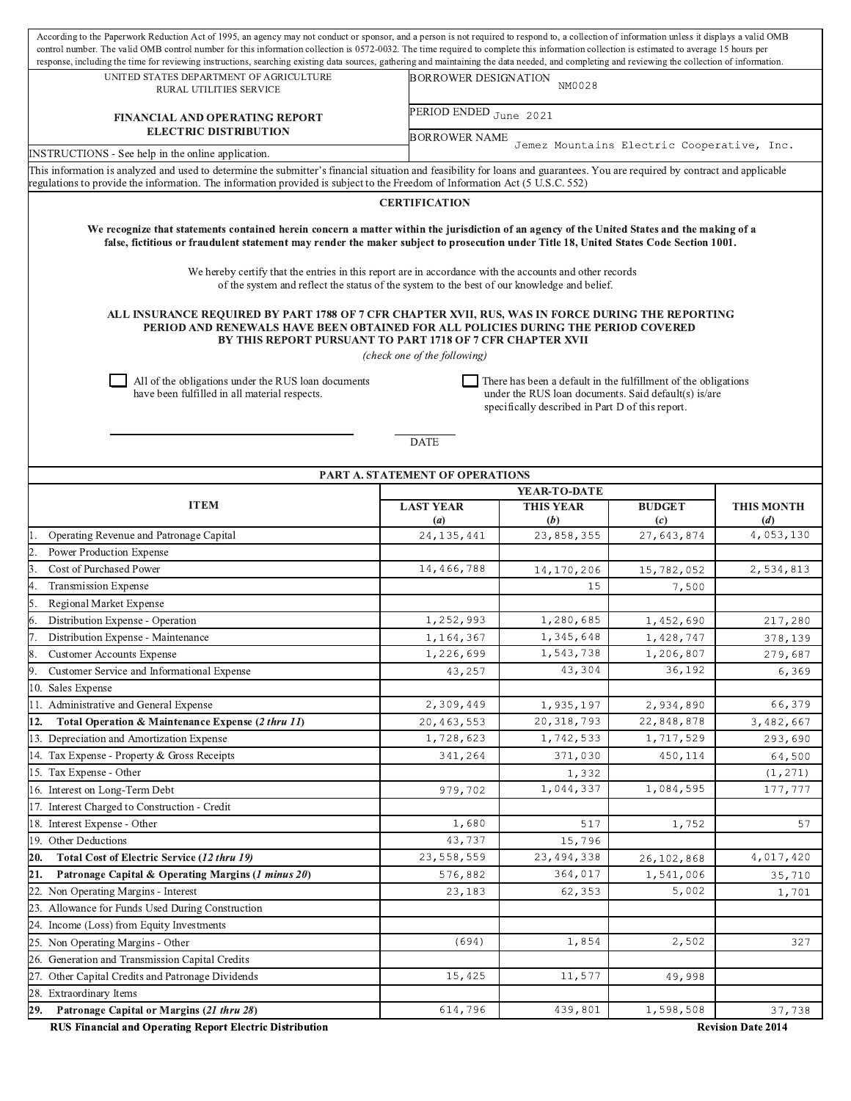| UNITED STATES DEPARTMENT OF AGRICULTURE<br><b>BORROWER DESIGNATION</b><br>NM0028<br>RURAL UTILITIES SERVICE<br>PERIOD ENDED June 2021<br><b>FINANCIAL AND OPERATING REPORT</b><br><b>ELECTRIC DISTRIBUTION</b><br><b>BORROWER NAME</b><br>Jemez Mountains Electric Cooperative, Inc.<br>INSTRUCTIONS - See help in the online application.<br>This information is analyzed and used to determine the submitter's financial situation and feasibility for loans and guarantees. You are required by contract and applicable<br>regulations to provide the information. The information provided is subject to the Freedom of Information Act (5 U.S.C. 552)<br><b>CERTIFICATION</b><br>We recognize that statements contained herein concern a matter within the jurisdiction of an agency of the United States and the making of a<br>false, fictitious or fraudulent statement may render the maker subject to prosecution under Title 18, United States Code Section 1001.<br>We hereby certify that the entries in this report are in accordance with the accounts and other records<br>of the system and reflect the status of the system to the best of our knowledge and belief.<br>ALL INSURANCE REQUIRED BY PART 1788 OF 7 CFR CHAPTER XVII, RUS, WAS IN FORCE DURING THE REPORTING<br>PERIOD AND RENEWALS HAVE BEEN OBTAINED FOR ALL POLICIES DURING THE PERIOD COVERED<br>BY THIS REPORT PURSUANT TO PART 1718 OF 7 CFR CHAPTER XVII<br>(check one of the following)<br>All of the obligations under the RUS loan documents<br>There has been a default in the fulfillment of the obligations<br>have been fulfilled in all material respects.<br>under the RUS loan documents. Said default(s) is/are<br>specifically described in Part D of this report.<br><b>DATE</b><br>PART A. STATEMENT OF OPERATIONS<br>YEAR-TO-DATE<br><b>ITEM</b><br><b>LAST YEAR</b><br><b>THIS YEAR</b><br><b>BUDGET</b><br><b>THIS MONTH</b><br>(a)<br>(b)<br>$\left( c\right)$<br>(d)<br>4,053,130<br>23,858,355<br>Operating Revenue and Patronage Capital<br>27,643,874<br>24, 135, 441<br>Power Production Expense<br>14,466,788<br>Cost of Purchased Power<br>2,534,813<br>14,170,206<br>15,782,052<br>15<br><b>Transmission Expense</b><br>7,500<br>Regional Market Expense<br>Distribution Expense - Operation<br>1,252,993<br>1,280,685<br>1,452,690<br>217,280<br>Distribution Expense - Maintenance<br>1,164,367<br>1,345,648<br>1,428,747<br>378,139<br>1,543,738<br>1,226,699<br>1,206,807<br>279,687<br><b>Customer Accounts Expense</b><br>43,304<br>36,192<br>Customer Service and Informational Expense<br>43,257<br>6,369<br>10. Sales Expense<br>11. Administrative and General Expense<br>2,309,449<br>66,379<br>1,935,197<br>2,934,890<br>Total Operation & Maintenance Expense (2 thru 11)<br>20,463,553<br>20, 318, 793<br>22,848,878<br>12.<br>3,482,667<br>13. Depreciation and Amortization Expense<br>1,728,623<br>1,742,533<br>1,717,529<br>293,690<br>14. Tax Expense - Property & Gross Receipts<br>371,030<br>341,264<br>450,114<br>64,500<br>15. Tax Expense - Other<br>1,332<br>(1, 271)<br>1,044,337<br>1,084,595<br>16. Interest on Long-Term Debt<br>979,702<br>177,777<br>7. Interest Charged to Construction - Credit<br>18. Interest Expense - Other<br>1,680<br>57<br>517<br>1,752<br>19. Other Deductions<br>43,737<br>15,796<br>23,558,559<br>23, 494, 338<br>Total Cost of Electric Service (12 thru 19)<br>4,017,420<br>20.<br>26,102,868<br>576,882<br>364,017<br>1,541,006<br>Patronage Capital & Operating Margins (1 minus 20)<br>35,710<br>21.<br>22. Non Operating Margins - Interest<br>5,002<br>62,353<br>23,183<br>1,701<br>23. Allowance for Funds Used During Construction<br>24. Income (Loss) from Equity Investments<br>1,854<br>25. Non Operating Margins - Other<br>(694)<br>2,502<br>327<br>26. Generation and Transmission Capital Credits<br>27. Other Capital Credits and Patronage Dividends<br>11,577<br>15,425<br>49,998<br>28. Extraordinary Items<br>439,801<br>614,796<br>1,598,508<br>29.<br>Patronage Capital or Margins (21 thru 28)<br>37,738 | According to the Paperwork Reduction Act of 1995, an agency may not conduct or sponsor, and a person is not required to respond to, a collection of information unless it displays a valid OMB<br>control number. The valid OMB control number for this information collection is 0572-0032. The time required to complete this information collection is estimated to average 15 hours per<br>response, including the time for reviewing instructions, searching existing data sources, gathering and maintaining the data needed, and completing and reviewing the collection of information. |  |  |  |  |  |  |  |  |  |  |
|---------------------------------------------------------------------------------------------------------------------------------------------------------------------------------------------------------------------------------------------------------------------------------------------------------------------------------------------------------------------------------------------------------------------------------------------------------------------------------------------------------------------------------------------------------------------------------------------------------------------------------------------------------------------------------------------------------------------------------------------------------------------------------------------------------------------------------------------------------------------------------------------------------------------------------------------------------------------------------------------------------------------------------------------------------------------------------------------------------------------------------------------------------------------------------------------------------------------------------------------------------------------------------------------------------------------------------------------------------------------------------------------------------------------------------------------------------------------------------------------------------------------------------------------------------------------------------------------------------------------------------------------------------------------------------------------------------------------------------------------------------------------------------------------------------------------------------------------------------------------------------------------------------------------------------------------------------------------------------------------------------------------------------------------------------------------------------------------------------------------------------------------------------------------------------------------------------------------------------------------------------------------------------------------------------------------------------------------------------------------------------------------------------------------------------------------------------------------------------------------------------------------------------------------------------------------------------------------------------------------------------------------------------------------------------------------------------------------------------------------------------------------------------------------------------------------------------------------------------------------------------------------------------------------------------------------------------------------------------------------------------------------------------------------------------------------------------------------------------------------------------------------------------------------------------------------------------------------------------------------------------------------------------------------------------------------------------------------------------------------------------------------------------------------------------------------------------------------------------------------------------------------------------------------------------------------------------------------------------------------------------------------------------------------------------------------------------------------------------------------------------------------------------------------------------------------------------------------------------------------------------------------------------------------------------------------------------------------------------------------------------------------------------------------------------------------------------------------------------------|-------------------------------------------------------------------------------------------------------------------------------------------------------------------------------------------------------------------------------------------------------------------------------------------------------------------------------------------------------------------------------------------------------------------------------------------------------------------------------------------------------------------------------------------------------------------------------------------------|--|--|--|--|--|--|--|--|--|--|
|                                                                                                                                                                                                                                                                                                                                                                                                                                                                                                                                                                                                                                                                                                                                                                                                                                                                                                                                                                                                                                                                                                                                                                                                                                                                                                                                                                                                                                                                                                                                                                                                                                                                                                                                                                                                                                                                                                                                                                                                                                                                                                                                                                                                                                                                                                                                                                                                                                                                                                                                                                                                                                                                                                                                                                                                                                                                                                                                                                                                                                                                                                                                                                                                                                                                                                                                                                                                                                                                                                                                                                                                                                                                                                                                                                                                                                                                                                                                                                                                                                                                                                               |                                                                                                                                                                                                                                                                                                                                                                                                                                                                                                                                                                                                 |  |  |  |  |  |  |  |  |  |  |
|                                                                                                                                                                                                                                                                                                                                                                                                                                                                                                                                                                                                                                                                                                                                                                                                                                                                                                                                                                                                                                                                                                                                                                                                                                                                                                                                                                                                                                                                                                                                                                                                                                                                                                                                                                                                                                                                                                                                                                                                                                                                                                                                                                                                                                                                                                                                                                                                                                                                                                                                                                                                                                                                                                                                                                                                                                                                                                                                                                                                                                                                                                                                                                                                                                                                                                                                                                                                                                                                                                                                                                                                                                                                                                                                                                                                                                                                                                                                                                                                                                                                                                               |                                                                                                                                                                                                                                                                                                                                                                                                                                                                                                                                                                                                 |  |  |  |  |  |  |  |  |  |  |
|                                                                                                                                                                                                                                                                                                                                                                                                                                                                                                                                                                                                                                                                                                                                                                                                                                                                                                                                                                                                                                                                                                                                                                                                                                                                                                                                                                                                                                                                                                                                                                                                                                                                                                                                                                                                                                                                                                                                                                                                                                                                                                                                                                                                                                                                                                                                                                                                                                                                                                                                                                                                                                                                                                                                                                                                                                                                                                                                                                                                                                                                                                                                                                                                                                                                                                                                                                                                                                                                                                                                                                                                                                                                                                                                                                                                                                                                                                                                                                                                                                                                                                               |                                                                                                                                                                                                                                                                                                                                                                                                                                                                                                                                                                                                 |  |  |  |  |  |  |  |  |  |  |
|                                                                                                                                                                                                                                                                                                                                                                                                                                                                                                                                                                                                                                                                                                                                                                                                                                                                                                                                                                                                                                                                                                                                                                                                                                                                                                                                                                                                                                                                                                                                                                                                                                                                                                                                                                                                                                                                                                                                                                                                                                                                                                                                                                                                                                                                                                                                                                                                                                                                                                                                                                                                                                                                                                                                                                                                                                                                                                                                                                                                                                                                                                                                                                                                                                                                                                                                                                                                                                                                                                                                                                                                                                                                                                                                                                                                                                                                                                                                                                                                                                                                                                               |                                                                                                                                                                                                                                                                                                                                                                                                                                                                                                                                                                                                 |  |  |  |  |  |  |  |  |  |  |
|                                                                                                                                                                                                                                                                                                                                                                                                                                                                                                                                                                                                                                                                                                                                                                                                                                                                                                                                                                                                                                                                                                                                                                                                                                                                                                                                                                                                                                                                                                                                                                                                                                                                                                                                                                                                                                                                                                                                                                                                                                                                                                                                                                                                                                                                                                                                                                                                                                                                                                                                                                                                                                                                                                                                                                                                                                                                                                                                                                                                                                                                                                                                                                                                                                                                                                                                                                                                                                                                                                                                                                                                                                                                                                                                                                                                                                                                                                                                                                                                                                                                                                               |                                                                                                                                                                                                                                                                                                                                                                                                                                                                                                                                                                                                 |  |  |  |  |  |  |  |  |  |  |
|                                                                                                                                                                                                                                                                                                                                                                                                                                                                                                                                                                                                                                                                                                                                                                                                                                                                                                                                                                                                                                                                                                                                                                                                                                                                                                                                                                                                                                                                                                                                                                                                                                                                                                                                                                                                                                                                                                                                                                                                                                                                                                                                                                                                                                                                                                                                                                                                                                                                                                                                                                                                                                                                                                                                                                                                                                                                                                                                                                                                                                                                                                                                                                                                                                                                                                                                                                                                                                                                                                                                                                                                                                                                                                                                                                                                                                                                                                                                                                                                                                                                                                               |                                                                                                                                                                                                                                                                                                                                                                                                                                                                                                                                                                                                 |  |  |  |  |  |  |  |  |  |  |
|                                                                                                                                                                                                                                                                                                                                                                                                                                                                                                                                                                                                                                                                                                                                                                                                                                                                                                                                                                                                                                                                                                                                                                                                                                                                                                                                                                                                                                                                                                                                                                                                                                                                                                                                                                                                                                                                                                                                                                                                                                                                                                                                                                                                                                                                                                                                                                                                                                                                                                                                                                                                                                                                                                                                                                                                                                                                                                                                                                                                                                                                                                                                                                                                                                                                                                                                                                                                                                                                                                                                                                                                                                                                                                                                                                                                                                                                                                                                                                                                                                                                                                               |                                                                                                                                                                                                                                                                                                                                                                                                                                                                                                                                                                                                 |  |  |  |  |  |  |  |  |  |  |
|                                                                                                                                                                                                                                                                                                                                                                                                                                                                                                                                                                                                                                                                                                                                                                                                                                                                                                                                                                                                                                                                                                                                                                                                                                                                                                                                                                                                                                                                                                                                                                                                                                                                                                                                                                                                                                                                                                                                                                                                                                                                                                                                                                                                                                                                                                                                                                                                                                                                                                                                                                                                                                                                                                                                                                                                                                                                                                                                                                                                                                                                                                                                                                                                                                                                                                                                                                                                                                                                                                                                                                                                                                                                                                                                                                                                                                                                                                                                                                                                                                                                                                               |                                                                                                                                                                                                                                                                                                                                                                                                                                                                                                                                                                                                 |  |  |  |  |  |  |  |  |  |  |
|                                                                                                                                                                                                                                                                                                                                                                                                                                                                                                                                                                                                                                                                                                                                                                                                                                                                                                                                                                                                                                                                                                                                                                                                                                                                                                                                                                                                                                                                                                                                                                                                                                                                                                                                                                                                                                                                                                                                                                                                                                                                                                                                                                                                                                                                                                                                                                                                                                                                                                                                                                                                                                                                                                                                                                                                                                                                                                                                                                                                                                                                                                                                                                                                                                                                                                                                                                                                                                                                                                                                                                                                                                                                                                                                                                                                                                                                                                                                                                                                                                                                                                               |                                                                                                                                                                                                                                                                                                                                                                                                                                                                                                                                                                                                 |  |  |  |  |  |  |  |  |  |  |
|                                                                                                                                                                                                                                                                                                                                                                                                                                                                                                                                                                                                                                                                                                                                                                                                                                                                                                                                                                                                                                                                                                                                                                                                                                                                                                                                                                                                                                                                                                                                                                                                                                                                                                                                                                                                                                                                                                                                                                                                                                                                                                                                                                                                                                                                                                                                                                                                                                                                                                                                                                                                                                                                                                                                                                                                                                                                                                                                                                                                                                                                                                                                                                                                                                                                                                                                                                                                                                                                                                                                                                                                                                                                                                                                                                                                                                                                                                                                                                                                                                                                                                               |                                                                                                                                                                                                                                                                                                                                                                                                                                                                                                                                                                                                 |  |  |  |  |  |  |  |  |  |  |
|                                                                                                                                                                                                                                                                                                                                                                                                                                                                                                                                                                                                                                                                                                                                                                                                                                                                                                                                                                                                                                                                                                                                                                                                                                                                                                                                                                                                                                                                                                                                                                                                                                                                                                                                                                                                                                                                                                                                                                                                                                                                                                                                                                                                                                                                                                                                                                                                                                                                                                                                                                                                                                                                                                                                                                                                                                                                                                                                                                                                                                                                                                                                                                                                                                                                                                                                                                                                                                                                                                                                                                                                                                                                                                                                                                                                                                                                                                                                                                                                                                                                                                               |                                                                                                                                                                                                                                                                                                                                                                                                                                                                                                                                                                                                 |  |  |  |  |  |  |  |  |  |  |
|                                                                                                                                                                                                                                                                                                                                                                                                                                                                                                                                                                                                                                                                                                                                                                                                                                                                                                                                                                                                                                                                                                                                                                                                                                                                                                                                                                                                                                                                                                                                                                                                                                                                                                                                                                                                                                                                                                                                                                                                                                                                                                                                                                                                                                                                                                                                                                                                                                                                                                                                                                                                                                                                                                                                                                                                                                                                                                                                                                                                                                                                                                                                                                                                                                                                                                                                                                                                                                                                                                                                                                                                                                                                                                                                                                                                                                                                                                                                                                                                                                                                                                               |                                                                                                                                                                                                                                                                                                                                                                                                                                                                                                                                                                                                 |  |  |  |  |  |  |  |  |  |  |
|                                                                                                                                                                                                                                                                                                                                                                                                                                                                                                                                                                                                                                                                                                                                                                                                                                                                                                                                                                                                                                                                                                                                                                                                                                                                                                                                                                                                                                                                                                                                                                                                                                                                                                                                                                                                                                                                                                                                                                                                                                                                                                                                                                                                                                                                                                                                                                                                                                                                                                                                                                                                                                                                                                                                                                                                                                                                                                                                                                                                                                                                                                                                                                                                                                                                                                                                                                                                                                                                                                                                                                                                                                                                                                                                                                                                                                                                                                                                                                                                                                                                                                               |                                                                                                                                                                                                                                                                                                                                                                                                                                                                                                                                                                                                 |  |  |  |  |  |  |  |  |  |  |
|                                                                                                                                                                                                                                                                                                                                                                                                                                                                                                                                                                                                                                                                                                                                                                                                                                                                                                                                                                                                                                                                                                                                                                                                                                                                                                                                                                                                                                                                                                                                                                                                                                                                                                                                                                                                                                                                                                                                                                                                                                                                                                                                                                                                                                                                                                                                                                                                                                                                                                                                                                                                                                                                                                                                                                                                                                                                                                                                                                                                                                                                                                                                                                                                                                                                                                                                                                                                                                                                                                                                                                                                                                                                                                                                                                                                                                                                                                                                                                                                                                                                                                               |                                                                                                                                                                                                                                                                                                                                                                                                                                                                                                                                                                                                 |  |  |  |  |  |  |  |  |  |  |
|                                                                                                                                                                                                                                                                                                                                                                                                                                                                                                                                                                                                                                                                                                                                                                                                                                                                                                                                                                                                                                                                                                                                                                                                                                                                                                                                                                                                                                                                                                                                                                                                                                                                                                                                                                                                                                                                                                                                                                                                                                                                                                                                                                                                                                                                                                                                                                                                                                                                                                                                                                                                                                                                                                                                                                                                                                                                                                                                                                                                                                                                                                                                                                                                                                                                                                                                                                                                                                                                                                                                                                                                                                                                                                                                                                                                                                                                                                                                                                                                                                                                                                               |                                                                                                                                                                                                                                                                                                                                                                                                                                                                                                                                                                                                 |  |  |  |  |  |  |  |  |  |  |
|                                                                                                                                                                                                                                                                                                                                                                                                                                                                                                                                                                                                                                                                                                                                                                                                                                                                                                                                                                                                                                                                                                                                                                                                                                                                                                                                                                                                                                                                                                                                                                                                                                                                                                                                                                                                                                                                                                                                                                                                                                                                                                                                                                                                                                                                                                                                                                                                                                                                                                                                                                                                                                                                                                                                                                                                                                                                                                                                                                                                                                                                                                                                                                                                                                                                                                                                                                                                                                                                                                                                                                                                                                                                                                                                                                                                                                                                                                                                                                                                                                                                                                               |                                                                                                                                                                                                                                                                                                                                                                                                                                                                                                                                                                                                 |  |  |  |  |  |  |  |  |  |  |
|                                                                                                                                                                                                                                                                                                                                                                                                                                                                                                                                                                                                                                                                                                                                                                                                                                                                                                                                                                                                                                                                                                                                                                                                                                                                                                                                                                                                                                                                                                                                                                                                                                                                                                                                                                                                                                                                                                                                                                                                                                                                                                                                                                                                                                                                                                                                                                                                                                                                                                                                                                                                                                                                                                                                                                                                                                                                                                                                                                                                                                                                                                                                                                                                                                                                                                                                                                                                                                                                                                                                                                                                                                                                                                                                                                                                                                                                                                                                                                                                                                                                                                               |                                                                                                                                                                                                                                                                                                                                                                                                                                                                                                                                                                                                 |  |  |  |  |  |  |  |  |  |  |
|                                                                                                                                                                                                                                                                                                                                                                                                                                                                                                                                                                                                                                                                                                                                                                                                                                                                                                                                                                                                                                                                                                                                                                                                                                                                                                                                                                                                                                                                                                                                                                                                                                                                                                                                                                                                                                                                                                                                                                                                                                                                                                                                                                                                                                                                                                                                                                                                                                                                                                                                                                                                                                                                                                                                                                                                                                                                                                                                                                                                                                                                                                                                                                                                                                                                                                                                                                                                                                                                                                                                                                                                                                                                                                                                                                                                                                                                                                                                                                                                                                                                                                               |                                                                                                                                                                                                                                                                                                                                                                                                                                                                                                                                                                                                 |  |  |  |  |  |  |  |  |  |  |
|                                                                                                                                                                                                                                                                                                                                                                                                                                                                                                                                                                                                                                                                                                                                                                                                                                                                                                                                                                                                                                                                                                                                                                                                                                                                                                                                                                                                                                                                                                                                                                                                                                                                                                                                                                                                                                                                                                                                                                                                                                                                                                                                                                                                                                                                                                                                                                                                                                                                                                                                                                                                                                                                                                                                                                                                                                                                                                                                                                                                                                                                                                                                                                                                                                                                                                                                                                                                                                                                                                                                                                                                                                                                                                                                                                                                                                                                                                                                                                                                                                                                                                               |                                                                                                                                                                                                                                                                                                                                                                                                                                                                                                                                                                                                 |  |  |  |  |  |  |  |  |  |  |
|                                                                                                                                                                                                                                                                                                                                                                                                                                                                                                                                                                                                                                                                                                                                                                                                                                                                                                                                                                                                                                                                                                                                                                                                                                                                                                                                                                                                                                                                                                                                                                                                                                                                                                                                                                                                                                                                                                                                                                                                                                                                                                                                                                                                                                                                                                                                                                                                                                                                                                                                                                                                                                                                                                                                                                                                                                                                                                                                                                                                                                                                                                                                                                                                                                                                                                                                                                                                                                                                                                                                                                                                                                                                                                                                                                                                                                                                                                                                                                                                                                                                                                               |                                                                                                                                                                                                                                                                                                                                                                                                                                                                                                                                                                                                 |  |  |  |  |  |  |  |  |  |  |
|                                                                                                                                                                                                                                                                                                                                                                                                                                                                                                                                                                                                                                                                                                                                                                                                                                                                                                                                                                                                                                                                                                                                                                                                                                                                                                                                                                                                                                                                                                                                                                                                                                                                                                                                                                                                                                                                                                                                                                                                                                                                                                                                                                                                                                                                                                                                                                                                                                                                                                                                                                                                                                                                                                                                                                                                                                                                                                                                                                                                                                                                                                                                                                                                                                                                                                                                                                                                                                                                                                                                                                                                                                                                                                                                                                                                                                                                                                                                                                                                                                                                                                               |                                                                                                                                                                                                                                                                                                                                                                                                                                                                                                                                                                                                 |  |  |  |  |  |  |  |  |  |  |
|                                                                                                                                                                                                                                                                                                                                                                                                                                                                                                                                                                                                                                                                                                                                                                                                                                                                                                                                                                                                                                                                                                                                                                                                                                                                                                                                                                                                                                                                                                                                                                                                                                                                                                                                                                                                                                                                                                                                                                                                                                                                                                                                                                                                                                                                                                                                                                                                                                                                                                                                                                                                                                                                                                                                                                                                                                                                                                                                                                                                                                                                                                                                                                                                                                                                                                                                                                                                                                                                                                                                                                                                                                                                                                                                                                                                                                                                                                                                                                                                                                                                                                               |                                                                                                                                                                                                                                                                                                                                                                                                                                                                                                                                                                                                 |  |  |  |  |  |  |  |  |  |  |
|                                                                                                                                                                                                                                                                                                                                                                                                                                                                                                                                                                                                                                                                                                                                                                                                                                                                                                                                                                                                                                                                                                                                                                                                                                                                                                                                                                                                                                                                                                                                                                                                                                                                                                                                                                                                                                                                                                                                                                                                                                                                                                                                                                                                                                                                                                                                                                                                                                                                                                                                                                                                                                                                                                                                                                                                                                                                                                                                                                                                                                                                                                                                                                                                                                                                                                                                                                                                                                                                                                                                                                                                                                                                                                                                                                                                                                                                                                                                                                                                                                                                                                               |                                                                                                                                                                                                                                                                                                                                                                                                                                                                                                                                                                                                 |  |  |  |  |  |  |  |  |  |  |
|                                                                                                                                                                                                                                                                                                                                                                                                                                                                                                                                                                                                                                                                                                                                                                                                                                                                                                                                                                                                                                                                                                                                                                                                                                                                                                                                                                                                                                                                                                                                                                                                                                                                                                                                                                                                                                                                                                                                                                                                                                                                                                                                                                                                                                                                                                                                                                                                                                                                                                                                                                                                                                                                                                                                                                                                                                                                                                                                                                                                                                                                                                                                                                                                                                                                                                                                                                                                                                                                                                                                                                                                                                                                                                                                                                                                                                                                                                                                                                                                                                                                                                               |                                                                                                                                                                                                                                                                                                                                                                                                                                                                                                                                                                                                 |  |  |  |  |  |  |  |  |  |  |
|                                                                                                                                                                                                                                                                                                                                                                                                                                                                                                                                                                                                                                                                                                                                                                                                                                                                                                                                                                                                                                                                                                                                                                                                                                                                                                                                                                                                                                                                                                                                                                                                                                                                                                                                                                                                                                                                                                                                                                                                                                                                                                                                                                                                                                                                                                                                                                                                                                                                                                                                                                                                                                                                                                                                                                                                                                                                                                                                                                                                                                                                                                                                                                                                                                                                                                                                                                                                                                                                                                                                                                                                                                                                                                                                                                                                                                                                                                                                                                                                                                                                                                               |                                                                                                                                                                                                                                                                                                                                                                                                                                                                                                                                                                                                 |  |  |  |  |  |  |  |  |  |  |
|                                                                                                                                                                                                                                                                                                                                                                                                                                                                                                                                                                                                                                                                                                                                                                                                                                                                                                                                                                                                                                                                                                                                                                                                                                                                                                                                                                                                                                                                                                                                                                                                                                                                                                                                                                                                                                                                                                                                                                                                                                                                                                                                                                                                                                                                                                                                                                                                                                                                                                                                                                                                                                                                                                                                                                                                                                                                                                                                                                                                                                                                                                                                                                                                                                                                                                                                                                                                                                                                                                                                                                                                                                                                                                                                                                                                                                                                                                                                                                                                                                                                                                               |                                                                                                                                                                                                                                                                                                                                                                                                                                                                                                                                                                                                 |  |  |  |  |  |  |  |  |  |  |
|                                                                                                                                                                                                                                                                                                                                                                                                                                                                                                                                                                                                                                                                                                                                                                                                                                                                                                                                                                                                                                                                                                                                                                                                                                                                                                                                                                                                                                                                                                                                                                                                                                                                                                                                                                                                                                                                                                                                                                                                                                                                                                                                                                                                                                                                                                                                                                                                                                                                                                                                                                                                                                                                                                                                                                                                                                                                                                                                                                                                                                                                                                                                                                                                                                                                                                                                                                                                                                                                                                                                                                                                                                                                                                                                                                                                                                                                                                                                                                                                                                                                                                               |                                                                                                                                                                                                                                                                                                                                                                                                                                                                                                                                                                                                 |  |  |  |  |  |  |  |  |  |  |
|                                                                                                                                                                                                                                                                                                                                                                                                                                                                                                                                                                                                                                                                                                                                                                                                                                                                                                                                                                                                                                                                                                                                                                                                                                                                                                                                                                                                                                                                                                                                                                                                                                                                                                                                                                                                                                                                                                                                                                                                                                                                                                                                                                                                                                                                                                                                                                                                                                                                                                                                                                                                                                                                                                                                                                                                                                                                                                                                                                                                                                                                                                                                                                                                                                                                                                                                                                                                                                                                                                                                                                                                                                                                                                                                                                                                                                                                                                                                                                                                                                                                                                               |                                                                                                                                                                                                                                                                                                                                                                                                                                                                                                                                                                                                 |  |  |  |  |  |  |  |  |  |  |
|                                                                                                                                                                                                                                                                                                                                                                                                                                                                                                                                                                                                                                                                                                                                                                                                                                                                                                                                                                                                                                                                                                                                                                                                                                                                                                                                                                                                                                                                                                                                                                                                                                                                                                                                                                                                                                                                                                                                                                                                                                                                                                                                                                                                                                                                                                                                                                                                                                                                                                                                                                                                                                                                                                                                                                                                                                                                                                                                                                                                                                                                                                                                                                                                                                                                                                                                                                                                                                                                                                                                                                                                                                                                                                                                                                                                                                                                                                                                                                                                                                                                                                               |                                                                                                                                                                                                                                                                                                                                                                                                                                                                                                                                                                                                 |  |  |  |  |  |  |  |  |  |  |
|                                                                                                                                                                                                                                                                                                                                                                                                                                                                                                                                                                                                                                                                                                                                                                                                                                                                                                                                                                                                                                                                                                                                                                                                                                                                                                                                                                                                                                                                                                                                                                                                                                                                                                                                                                                                                                                                                                                                                                                                                                                                                                                                                                                                                                                                                                                                                                                                                                                                                                                                                                                                                                                                                                                                                                                                                                                                                                                                                                                                                                                                                                                                                                                                                                                                                                                                                                                                                                                                                                                                                                                                                                                                                                                                                                                                                                                                                                                                                                                                                                                                                                               |                                                                                                                                                                                                                                                                                                                                                                                                                                                                                                                                                                                                 |  |  |  |  |  |  |  |  |  |  |
|                                                                                                                                                                                                                                                                                                                                                                                                                                                                                                                                                                                                                                                                                                                                                                                                                                                                                                                                                                                                                                                                                                                                                                                                                                                                                                                                                                                                                                                                                                                                                                                                                                                                                                                                                                                                                                                                                                                                                                                                                                                                                                                                                                                                                                                                                                                                                                                                                                                                                                                                                                                                                                                                                                                                                                                                                                                                                                                                                                                                                                                                                                                                                                                                                                                                                                                                                                                                                                                                                                                                                                                                                                                                                                                                                                                                                                                                                                                                                                                                                                                                                                               |                                                                                                                                                                                                                                                                                                                                                                                                                                                                                                                                                                                                 |  |  |  |  |  |  |  |  |  |  |
|                                                                                                                                                                                                                                                                                                                                                                                                                                                                                                                                                                                                                                                                                                                                                                                                                                                                                                                                                                                                                                                                                                                                                                                                                                                                                                                                                                                                                                                                                                                                                                                                                                                                                                                                                                                                                                                                                                                                                                                                                                                                                                                                                                                                                                                                                                                                                                                                                                                                                                                                                                                                                                                                                                                                                                                                                                                                                                                                                                                                                                                                                                                                                                                                                                                                                                                                                                                                                                                                                                                                                                                                                                                                                                                                                                                                                                                                                                                                                                                                                                                                                                               |                                                                                                                                                                                                                                                                                                                                                                                                                                                                                                                                                                                                 |  |  |  |  |  |  |  |  |  |  |
|                                                                                                                                                                                                                                                                                                                                                                                                                                                                                                                                                                                                                                                                                                                                                                                                                                                                                                                                                                                                                                                                                                                                                                                                                                                                                                                                                                                                                                                                                                                                                                                                                                                                                                                                                                                                                                                                                                                                                                                                                                                                                                                                                                                                                                                                                                                                                                                                                                                                                                                                                                                                                                                                                                                                                                                                                                                                                                                                                                                                                                                                                                                                                                                                                                                                                                                                                                                                                                                                                                                                                                                                                                                                                                                                                                                                                                                                                                                                                                                                                                                                                                               |                                                                                                                                                                                                                                                                                                                                                                                                                                                                                                                                                                                                 |  |  |  |  |  |  |  |  |  |  |
|                                                                                                                                                                                                                                                                                                                                                                                                                                                                                                                                                                                                                                                                                                                                                                                                                                                                                                                                                                                                                                                                                                                                                                                                                                                                                                                                                                                                                                                                                                                                                                                                                                                                                                                                                                                                                                                                                                                                                                                                                                                                                                                                                                                                                                                                                                                                                                                                                                                                                                                                                                                                                                                                                                                                                                                                                                                                                                                                                                                                                                                                                                                                                                                                                                                                                                                                                                                                                                                                                                                                                                                                                                                                                                                                                                                                                                                                                                                                                                                                                                                                                                               |                                                                                                                                                                                                                                                                                                                                                                                                                                                                                                                                                                                                 |  |  |  |  |  |  |  |  |  |  |
|                                                                                                                                                                                                                                                                                                                                                                                                                                                                                                                                                                                                                                                                                                                                                                                                                                                                                                                                                                                                                                                                                                                                                                                                                                                                                                                                                                                                                                                                                                                                                                                                                                                                                                                                                                                                                                                                                                                                                                                                                                                                                                                                                                                                                                                                                                                                                                                                                                                                                                                                                                                                                                                                                                                                                                                                                                                                                                                                                                                                                                                                                                                                                                                                                                                                                                                                                                                                                                                                                                                                                                                                                                                                                                                                                                                                                                                                                                                                                                                                                                                                                                               |                                                                                                                                                                                                                                                                                                                                                                                                                                                                                                                                                                                                 |  |  |  |  |  |  |  |  |  |  |
|                                                                                                                                                                                                                                                                                                                                                                                                                                                                                                                                                                                                                                                                                                                                                                                                                                                                                                                                                                                                                                                                                                                                                                                                                                                                                                                                                                                                                                                                                                                                                                                                                                                                                                                                                                                                                                                                                                                                                                                                                                                                                                                                                                                                                                                                                                                                                                                                                                                                                                                                                                                                                                                                                                                                                                                                                                                                                                                                                                                                                                                                                                                                                                                                                                                                                                                                                                                                                                                                                                                                                                                                                                                                                                                                                                                                                                                                                                                                                                                                                                                                                                               |                                                                                                                                                                                                                                                                                                                                                                                                                                                                                                                                                                                                 |  |  |  |  |  |  |  |  |  |  |
|                                                                                                                                                                                                                                                                                                                                                                                                                                                                                                                                                                                                                                                                                                                                                                                                                                                                                                                                                                                                                                                                                                                                                                                                                                                                                                                                                                                                                                                                                                                                                                                                                                                                                                                                                                                                                                                                                                                                                                                                                                                                                                                                                                                                                                                                                                                                                                                                                                                                                                                                                                                                                                                                                                                                                                                                                                                                                                                                                                                                                                                                                                                                                                                                                                                                                                                                                                                                                                                                                                                                                                                                                                                                                                                                                                                                                                                                                                                                                                                                                                                                                                               |                                                                                                                                                                                                                                                                                                                                                                                                                                                                                                                                                                                                 |  |  |  |  |  |  |  |  |  |  |
|                                                                                                                                                                                                                                                                                                                                                                                                                                                                                                                                                                                                                                                                                                                                                                                                                                                                                                                                                                                                                                                                                                                                                                                                                                                                                                                                                                                                                                                                                                                                                                                                                                                                                                                                                                                                                                                                                                                                                                                                                                                                                                                                                                                                                                                                                                                                                                                                                                                                                                                                                                                                                                                                                                                                                                                                                                                                                                                                                                                                                                                                                                                                                                                                                                                                                                                                                                                                                                                                                                                                                                                                                                                                                                                                                                                                                                                                                                                                                                                                                                                                                                               |                                                                                                                                                                                                                                                                                                                                                                                                                                                                                                                                                                                                 |  |  |  |  |  |  |  |  |  |  |
|                                                                                                                                                                                                                                                                                                                                                                                                                                                                                                                                                                                                                                                                                                                                                                                                                                                                                                                                                                                                                                                                                                                                                                                                                                                                                                                                                                                                                                                                                                                                                                                                                                                                                                                                                                                                                                                                                                                                                                                                                                                                                                                                                                                                                                                                                                                                                                                                                                                                                                                                                                                                                                                                                                                                                                                                                                                                                                                                                                                                                                                                                                                                                                                                                                                                                                                                                                                                                                                                                                                                                                                                                                                                                                                                                                                                                                                                                                                                                                                                                                                                                                               |                                                                                                                                                                                                                                                                                                                                                                                                                                                                                                                                                                                                 |  |  |  |  |  |  |  |  |  |  |
|                                                                                                                                                                                                                                                                                                                                                                                                                                                                                                                                                                                                                                                                                                                                                                                                                                                                                                                                                                                                                                                                                                                                                                                                                                                                                                                                                                                                                                                                                                                                                                                                                                                                                                                                                                                                                                                                                                                                                                                                                                                                                                                                                                                                                                                                                                                                                                                                                                                                                                                                                                                                                                                                                                                                                                                                                                                                                                                                                                                                                                                                                                                                                                                                                                                                                                                                                                                                                                                                                                                                                                                                                                                                                                                                                                                                                                                                                                                                                                                                                                                                                                               |                                                                                                                                                                                                                                                                                                                                                                                                                                                                                                                                                                                                 |  |  |  |  |  |  |  |  |  |  |
|                                                                                                                                                                                                                                                                                                                                                                                                                                                                                                                                                                                                                                                                                                                                                                                                                                                                                                                                                                                                                                                                                                                                                                                                                                                                                                                                                                                                                                                                                                                                                                                                                                                                                                                                                                                                                                                                                                                                                                                                                                                                                                                                                                                                                                                                                                                                                                                                                                                                                                                                                                                                                                                                                                                                                                                                                                                                                                                                                                                                                                                                                                                                                                                                                                                                                                                                                                                                                                                                                                                                                                                                                                                                                                                                                                                                                                                                                                                                                                                                                                                                                                               |                                                                                                                                                                                                                                                                                                                                                                                                                                                                                                                                                                                                 |  |  |  |  |  |  |  |  |  |  |

RUS Financial and Operating Report Electric Distribution